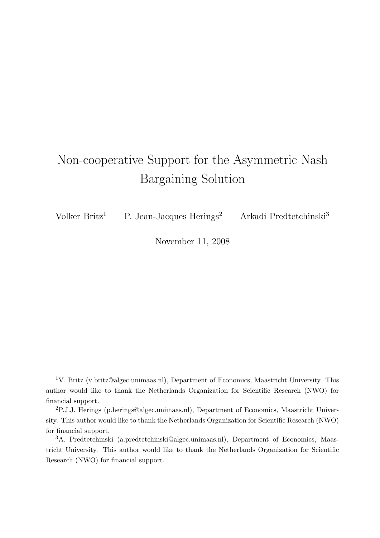# Non-cooperative Support for the Asymmetric Nash Bargaining Solution

Volker Britz<sup>1</sup> P. Jean-Jacques Herings<sup>2</sup> Arkadi Predtetchinski<sup>3</sup>

November 11, 2008

<sup>1</sup>V. Britz (v.britz@algec.unimaas.nl), Department of Economics, Maastricht University. This author would like to thank the Netherlands Organization for Scientific Research (NWO) for financial support.

<sup>2</sup>P.J.J. Herings (p.herings@algec.unimaas.nl), Department of Economics, Maastricht University. This author would like to thank the Netherlands Organization for Scientific Research (NWO) for financial support.

<sup>3</sup>A. Predtetchinski (a.predtetchinski@algec.unimaas.nl), Department of Economics, Maastricht University. This author would like to thank the Netherlands Organization for Scientific Research (NWO) for financial support.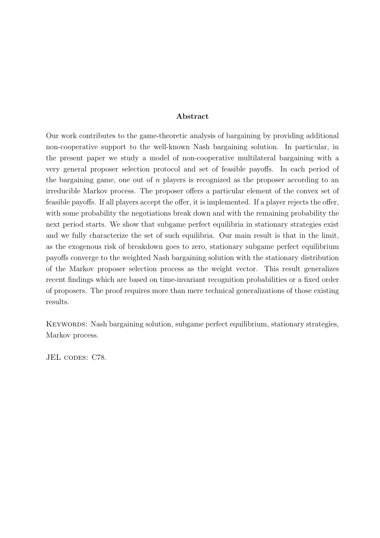#### Abstract

Our work contributes to the game-theoretic analysis of bargaining by providing additional non-cooperative support to the well-known Nash bargaining solution. In particular, in the present paper we study a model of non-cooperative multilateral bargaining with a very general proposer selection protocol and set of feasible payoffs. In each period of the bargaining game, one out of  $n$  players is recognized as the proposer according to an irreducible Markov process. The proposer offers a particular element of the convex set of feasible payoffs. If all players accept the offer, it is implemented. If a player rejects the offer, with some probability the negotiations break down and with the remaining probability the next period starts. We show that subgame perfect equilibria in stationary strategies exist and we fully characterize the set of such equilibria. Our main result is that in the limit, as the exogenous risk of breakdown goes to zero, stationary subgame perfect equilibrium payoffs converge to the weighted Nash bargaining solution with the stationary distribution of the Markov proposer selection process as the weight vector. This result generalizes recent findings which are based on time-invariant recognition probabilities or a fixed order of proposers. The proof requires more than mere technical generalizations of those existing results.

KEYWORDS: Nash bargaining solution, subgame perfect equilibrium, stationary strategies, Markov process.

JEL codes: C78.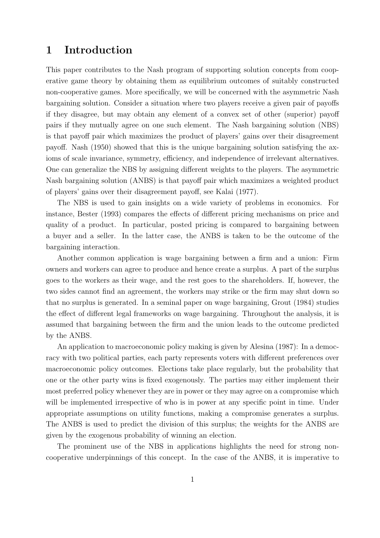## 1 Introduction

This paper contributes to the Nash program of supporting solution concepts from cooperative game theory by obtaining them as equilibrium outcomes of suitably constructed non-cooperative games. More specifically, we will be concerned with the asymmetric Nash bargaining solution. Consider a situation where two players receive a given pair of payoffs if they disagree, but may obtain any element of a convex set of other (superior) payoff pairs if they mutually agree on one such element. The Nash bargaining solution (NBS) is that payoff pair which maximizes the product of players' gains over their disagreement payoff. Nash (1950) showed that this is the unique bargaining solution satisfying the axioms of scale invariance, symmetry, efficiency, and independence of irrelevant alternatives. One can generalize the NBS by assigning different weights to the players. The asymmetric Nash bargaining solution (ANBS) is that payoff pair which maximizes a weighted product of players' gains over their disagreement payoff, see Kalai (1977).

The NBS is used to gain insights on a wide variety of problems in economics. For instance, Bester (1993) compares the effects of different pricing mechanisms on price and quality of a product. In particular, posted pricing is compared to bargaining between a buyer and a seller. In the latter case, the ANBS is taken to be the outcome of the bargaining interaction.

Another common application is wage bargaining between a firm and a union: Firm owners and workers can agree to produce and hence create a surplus. A part of the surplus goes to the workers as their wage, and the rest goes to the shareholders. If, however, the two sides cannot find an agreement, the workers may strike or the firm may shut down so that no surplus is generated. In a seminal paper on wage bargaining, Grout (1984) studies the effect of different legal frameworks on wage bargaining. Throughout the analysis, it is assumed that bargaining between the firm and the union leads to the outcome predicted by the ANBS.

An application to macroeconomic policy making is given by Alesina (1987): In a democracy with two political parties, each party represents voters with different preferences over macroeconomic policy outcomes. Elections take place regularly, but the probability that one or the other party wins is fixed exogenously. The parties may either implement their most preferred policy whenever they are in power or they may agree on a compromise which will be implemented irrespective of who is in power at any specific point in time. Under appropriate assumptions on utility functions, making a compromise generates a surplus. The ANBS is used to predict the division of this surplus; the weights for the ANBS are given by the exogenous probability of winning an election.

The prominent use of the NBS in applications highlights the need for strong noncooperative underpinnings of this concept. In the case of the ANBS, it is imperative to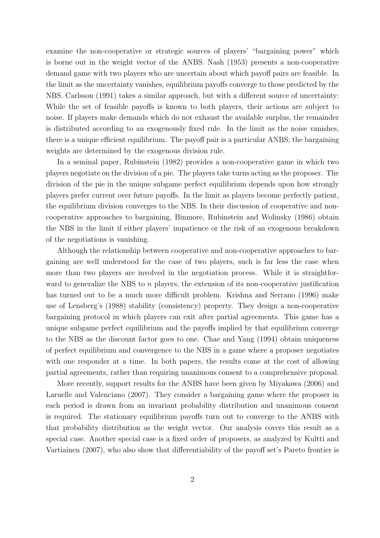examine the non-cooperative or strategic sources of players' "bargaining power" which is borne out in the weight vector of the ANBS. Nash (1953) presents a non-cooperative demand game with two players who are uncertain about which payoff pairs are feasible. In the limit as the uncertainty vanishes, equilibrium payoffs converge to those predicted by the NBS. Carlsson (1991) takes a similar approach, but with a different source of uncertainty: While the set of feasible payoffs is known to both players, their actions are subject to noise. If players make demands which do not exhaust the available surplus, the remainder is distributed according to an exogenously fixed rule. In the limit as the noise vanishes, there is a unique efficient equilibrium. The payoff pair is a particular ANBS; the bargaining weights are determined by the exogenous division rule.

In a seminal paper, Rubinstein (1982) provides a non-cooperative game in which two players negotiate on the division of a pie. The players take turns acting as the proposer. The division of the pie in the unique subgame perfect equilibrium depends upon how strongly players prefer current over future payoffs. In the limit as players become perfectly patient, the equilibrium division converges to the NBS. In their discussion of cooperative and noncooperative approaches to bargaining, Binmore, Rubinstein and Wolinsky (1986) obtain the NBS in the limit if either players' impatience or the risk of an exogenous breakdown of the negotiations is vanishing.

Although the relationship between cooperative and non-cooperative approaches to bargaining are well understood for the case of two players, such is far less the case when more than two players are involved in the negotiation process. While it is straightforward to generalize the NBS to n players, the extension of its non-cooperative justification has turned out to be a much more difficult problem. Krishna and Serrano (1996) make use of Lensberg's (1988) stability (consistency) property. They design a non-cooperative bargaining protocol in which players can exit after partial agreements. This game has a unique subgame perfect equilibrium and the payoffs implied by that equilibrium converge to the NBS as the discount factor goes to one. Chae and Yang (1994) obtain uniqueness of perfect equilibrium and convergence to the NBS in a game where a proposer negotiates with one responder at a time. In both papers, the results come at the cost of allowing partial agreements, rather than requiring unanimous consent to a comprehensive proposal.

More recently, support results for the ANBS have been given by Miyakawa (2006) and Laruelle and Valenciano (2007). They consider a bargaining game where the proposer in each period is drawn from an invariant probability distribution and unanimous consent is required. The stationary equilibrium payoffs turn out to converge to the ANBS with that probability distribution as the weight vector. Our analysis covers this result as a special case. Another special case is a fixed order of proposers, as analyzed by Kultti and Vartiainen (2007), who also show that differentiability of the payoff set's Pareto frontier is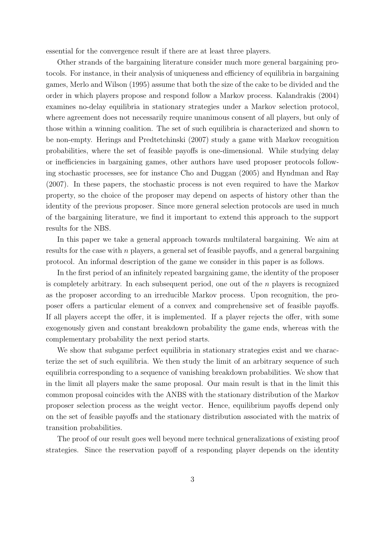essential for the convergence result if there are at least three players.

Other strands of the bargaining literature consider much more general bargaining protocols. For instance, in their analysis of uniqueness and efficiency of equilibria in bargaining games, Merlo and Wilson (1995) assume that both the size of the cake to be divided and the order in which players propose and respond follow a Markov process. Kalandrakis (2004) examines no-delay equilibria in stationary strategies under a Markov selection protocol, where agreement does not necessarily require unanimous consent of all players, but only of those within a winning coalition. The set of such equilibria is characterized and shown to be non-empty. Herings and Predtetchinski (2007) study a game with Markov recognition probabilities, where the set of feasible payoffs is one-dimensional. While studying delay or inefficiencies in bargaining games, other authors have used proposer protocols following stochastic processes, see for instance Cho and Duggan (2005) and Hyndman and Ray (2007). In these papers, the stochastic process is not even required to have the Markov property, so the choice of the proposer may depend on aspects of history other than the identity of the previous proposer. Since more general selection protocols are used in much of the bargaining literature, we find it important to extend this approach to the support results for the NBS.

In this paper we take a general approach towards multilateral bargaining. We aim at results for the case with n players, a general set of feasible payoffs, and a general bargaining protocol. An informal description of the game we consider in this paper is as follows.

In the first period of an infinitely repeated bargaining game, the identity of the proposer is completely arbitrary. In each subsequent period, one out of the  $n$  players is recognized as the proposer according to an irreducible Markov process. Upon recognition, the proposer offers a particular element of a convex and comprehensive set of feasible payoffs. If all players accept the offer, it is implemented. If a player rejects the offer, with some exogenously given and constant breakdown probability the game ends, whereas with the complementary probability the next period starts.

We show that subgame perfect equilibria in stationary strategies exist and we characterize the set of such equilibria. We then study the limit of an arbitrary sequence of such equilibria corresponding to a sequence of vanishing breakdown probabilities. We show that in the limit all players make the same proposal. Our main result is that in the limit this common proposal coincides with the ANBS with the stationary distribution of the Markov proposer selection process as the weight vector. Hence, equilibrium payoffs depend only on the set of feasible payoffs and the stationary distribution associated with the matrix of transition probabilities.

The proof of our result goes well beyond mere technical generalizations of existing proof strategies. Since the reservation payoff of a responding player depends on the identity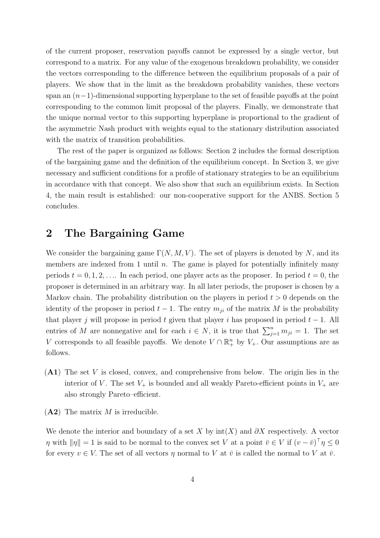of the current proposer, reservation payoffs cannot be expressed by a single vector, but correspond to a matrix. For any value of the exogenous breakdown probability, we consider the vectors corresponding to the difference between the equilibrium proposals of a pair of players. We show that in the limit as the breakdown probability vanishes, these vectors span an  $(n-1)$ -dimensional supporting hyperplane to the set of feasible payoffs at the point corresponding to the common limit proposal of the players. Finally, we demonstrate that the unique normal vector to this supporting hyperplane is proportional to the gradient of the asymmetric Nash product with weights equal to the stationary distribution associated with the matrix of transition probabilities.

The rest of the paper is organized as follows: Section 2 includes the formal description of the bargaining game and the definition of the equilibrium concept. In Section 3, we give necessary and sufficient conditions for a profile of stationary strategies to be an equilibrium in accordance with that concept. We also show that such an equilibrium exists. In Section 4, the main result is established: our non-cooperative support for the ANBS. Section 5 concludes.

## 2 The Bargaining Game

We consider the bargaining game  $\Gamma(N, M, V)$ . The set of players is denoted by N, and its members are indexed from 1 until  $n$ . The game is played for potentially infinitely many periods  $t = 0, 1, 2, \ldots$  In each period, one player acts as the proposer. In period  $t = 0$ , the proposer is determined in an arbitrary way. In all later periods, the proposer is chosen by a Markov chain. The probability distribution on the players in period  $t > 0$  depends on the identity of the proposer in period  $t-1$ . The entry  $m_{ji}$  of the matrix M is the probability that player j will propose in period t given that player i has proposed in period  $t - 1$ . All entries of M are nonnegative and for each  $i \in N$ , it is true that  $\sum_{j=1}^{n} m_{ji} = 1$ . The set V corresponds to all feasible payoffs. We denote  $V \cap \mathbb{R}^n_+$  by  $V_+$ . Our assumptions are as follows.

- (A1) The set V is closed, convex, and comprehensive from below. The origin lies in the interior of V. The set  $V_+$  is bounded and all weakly Pareto-efficient points in  $V_+$  are also strongly Pareto–efficient.
- $(A2)$  The matrix M is irreducible.

We denote the interior and boundary of a set X by  $\text{int}(X)$  and  $\partial X$  respectively. A vector  $\eta$  with  $\|\eta\| = 1$  is said to be normal to the convex set V at a point  $\bar{v} \in V$  if  $(v - \bar{v})^{\top} \eta \leq 0$ for every  $v \in V$ . The set of all vectors  $\eta$  normal to V at  $\bar{v}$  is called the normal to V at  $\bar{v}$ .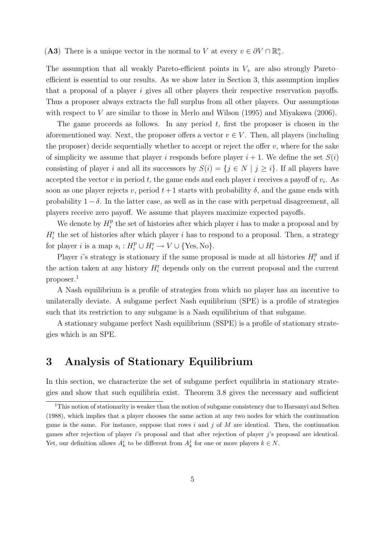(A3) There is a unique vector in the normal to V at every  $v \in \partial V \cap \mathbb{R}^n_+$ .

The assumption that all weakly Pareto-efficient points in  $V_+$  are also strongly Pareto– efficient is essential to our results. As we show later in Section 3, this assumption implies that a proposal of a player i gives all other players their respective reservation payoffs. Thus a proposer always extracts the full surplus from all other players. Our assumptions with respect to V are similar to those in Merlo and Wilson (1995) and Miyakawa (2006).

The game proceeds as follows. In any period  $t$ , first the proposer is chosen in the aforementioned way. Next, the proposer offers a vector  $v \in V$ . Then, all players (including the proposer) decide sequentially whether to accept or reject the offer  $v$ , where for the sake of simplicity we assume that player i responds before player  $i + 1$ . We define the set  $S(i)$ consisting of player i and all its successors by  $S(i) = \{j \in N \mid j \geq i\}$ . If all players have accepted the vector  $v$  in period  $t$ , the game ends and each player  $i$  receives a payoff of  $v_i$ . As soon as one player rejects v, period  $t+1$  starts with probability  $\delta$ , and the game ends with probability  $1 - \delta$ . In the latter case, as well as in the case with perpetual disagreement, all players receive zero payoff. We assume that players maximize expected payoffs.

We denote by  $H_i^{\text{p}}$  $i_i$  the set of histories after which player i has to make a proposal and by  $H_i^{\rm r}$  the set of histories after which player i has to respond to a proposal. Then, a strategy for player *i* is a map  $s_i : H_i^p \cup H_i^r \to V \cup \{Yes, No\}.$ 

Player i's strategy is stationary if the same proposal is made at all histories  $H_i^{\text{p}}$  $i^{\mathrm{p}}$  and if the action taken at any history  $H_i^r$  depends only on the current proposal and the current proposer.<sup>1</sup>

A Nash equilibrium is a profile of strategies from which no player has an incentive to unilaterally deviate. A subgame perfect Nash equilibrium (SPE) is a profile of strategies such that its restriction to any subgame is a Nash equilibrium of that subgame.

A stationary subgame perfect Nash equilibrium (SSPE) is a profile of stationary strategies which is an SPE.

## 3 Analysis of Stationary Equilibrium

In this section, we characterize the set of subgame perfect equilibria in stationary strategies and show that such equilibria exist. Theorem 3.8 gives the necessary and sufficient

<sup>&</sup>lt;sup>1</sup>This notion of stationarity is weaker than the notion of subgame consistency due to Harsanyi and Selten (1988), which implies that a player chooses the same action at any two nodes for which the continuation game is the same. For instance, suppose that rows i and j of M are identical. Then, the continuation games after rejection of player  $i$ 's proposal and that after rejection of player  $j$ 's proposal are identical. Yet, our definition allows  $A_k^i$  to be different from  $A_k^j$  for one or more players  $k \in N$ .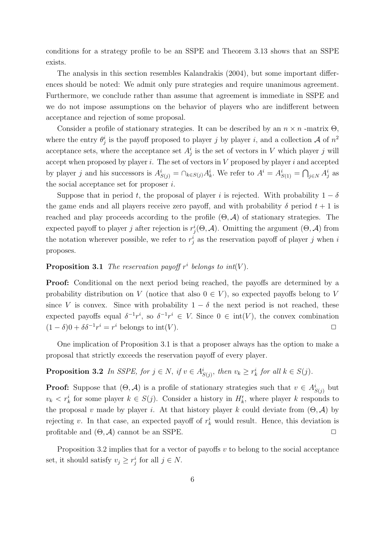conditions for a strategy profile to be an SSPE and Theorem 3.13 shows that an SSPE exists.

The analysis in this section resembles Kalandrakis (2004), but some important differences should be noted: We admit only pure strategies and require unanimous agreement. Furthermore, we conclude rather than assume that agreement is immediate in SSPE and we do not impose assumptions on the behavior of players who are indifferent between acceptance and rejection of some proposal.

Consider a profile of stationary strategies. It can be described by an  $n \times n$  -matrix  $\Theta$ , where the entry  $\theta_j^i$  is the payoff proposed to player j by player i, and a collection A of  $n^2$ acceptance sets, where the acceptance set  $A_j^i$  is the set of vectors in V which player j will accept when proposed by player  $i$ . The set of vectors in  $V$  proposed by player  $i$  and accepted by player j and his successors is  $A_{S(j)}^i = \bigcap_{k \in S(j)} A_k^i$ . We refer to  $A^i = A_{S(1)}^i = \bigcap_{j \in N} A_j^i$  as the social acceptance set for proposer i.

Suppose that in period t, the proposal of player i is rejected. With probability  $1 - \delta$ the game ends and all players receive zero payoff, and with probability  $\delta$  period  $t + 1$  is reached and play proceeds according to the profile  $(\Theta, \mathcal{A})$  of stationary strategies. The expected payoff to player j after rejection is  $r_j^i(\Theta, \mathcal{A})$ . Omitting the argument  $(\Theta, \mathcal{A})$  from the notation wherever possible, we refer to  $r_j^i$  as the reservation payoff of player j when i proposes.

#### **Proposition 3.1** The reservation payoff  $r^i$  belongs to  $int(V)$ .

Proof: Conditional on the next period being reached, the payoffs are determined by a probability distribution on V (notice that also  $0 \in V$ ), so expected payoffs belong to V since V is convex. Since with probability  $1 - \delta$  the next period is not reached, these expected payoffs equal  $\delta^{-1}r^i$ , so  $\delta^{-1}r^i \in V$ . Since  $0 \in \text{int}(V)$ , the convex combination  $(1 - \delta)0 + \delta \delta^{-1} r^i = r^i$  belongs to int(V).

One implication of Proposition 3.1 is that a proposer always has the option to make a proposal that strictly exceeds the reservation payoff of every player.

## **Proposition 3.2** In SSPE, for  $j \in N$ , if  $v \in A_{S(j)}^i$ , then  $v_k \geq r_k^i$  for all  $k \in S(j)$ .

**Proof:** Suppose that  $(\Theta, \mathcal{A})$  is a profile of stationary strategies such that  $v \in A^{i}_{S(j)}$  but  $v_k < r_k^i$  for some player  $k \in S(j)$ . Consider a history in  $H_k^r$ , where player k responds to the proposal v made by player i. At that history player k could deviate from  $(\Theta, \mathcal{A})$  by rejecting v. In that case, an expected payoff of  $r_k^i$  would result. Hence, this deviation is profitable and  $(\Theta, \mathcal{A})$  cannot be an SSPE.

Proposition 3.2 implies that for a vector of payoffs  $v$  to belong to the social acceptance set, it should satisfy  $v_j \geq r_j^i$  for all  $j \in N$ .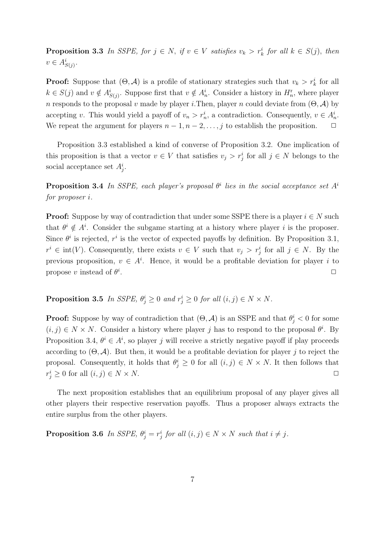**Proposition 3.3** In SSPE, for  $j \in N$ , if  $v \in V$  satisfies  $v_k > r_k^i$  for all  $k \in S(j)$ , then  $v \in A^{i}_{S(j)}$ .

**Proof:** Suppose that  $(\Theta, \mathcal{A})$  is a profile of stationary strategies such that  $v_k > r_k^i$  for all  $k \in S(j)$  and  $v \notin A^{i}_{S(j)}$ . Suppose first that  $v \notin A^{i}_{n}$ . Consider a history in  $H^{r}_{n}$ , where player n responds to the proposal v made by player i. Then, player n could deviate from  $(\Theta, \mathcal{A})$  by accepting v. This would yield a payoff of  $v_n > r_n^i$ , a contradiction. Consequently,  $v \in A_n^i$ . We repeat the argument for players  $n-1, n-2, \ldots, j$  to establish the proposition.  $\Box$ 

Proposition 3.3 established a kind of converse of Proposition 3.2. One implication of this proposition is that a vector  $v \in V$  that satisfies  $v_j > r_j^i$  for all  $j \in N$  belongs to the social acceptance set  $A_j^i$ .

**Proposition 3.4** In SSPE, each player's proposal  $\theta^i$  lies in the social acceptance set  $A^i$ for proposer i.

**Proof:** Suppose by way of contradiction that under some SSPE there is a player  $i \in N$  such that  $\theta^i \notin A^i$ . Consider the subgame starting at a history where player i is the proposer. Since  $\theta^i$  is rejected,  $r^i$  is the vector of expected payoffs by definition. By Proposition 3.1,  $r^i \in \text{int}(V)$ . Consequently, there exists  $v \in V$  such that  $v_j > r_j^i$  for all  $j \in N$ . By the previous proposition,  $v \in A^i$ . Hence, it would be a profitable deviation for player i to propose v instead of  $\theta^i$ . ✷

**Proposition 3.5** In SSPE,  $\theta_j^i \geq 0$  and  $r_j^i \geq 0$  for all  $(i, j) \in N \times N$ .

**Proof:** Suppose by way of contradiction that  $(\Theta, \mathcal{A})$  is an SSPE and that  $\theta_j^i < 0$  for some  $(i, j) \in N \times N$ . Consider a history where player j has to respond to the proposal  $\theta^i$ . By Proposition 3.4,  $\theta^i \in A^i$ , so player j will receive a strictly negative payoff if play proceeds according to  $(\Theta, \mathcal{A})$ . But then, it would be a profitable deviation for player j to reject the proposal. Consequently, it holds that  $\theta_j^i \geq 0$  for all  $(i, j) \in N \times N$ . It then follows that  $r_j^i \geq 0$  for all  $(i, j) \in N \times N$ .

The next proposition establishes that an equilibrium proposal of any player gives all other players their respective reservation payoffs. Thus a proposer always extracts the entire surplus from the other players.

**Proposition 3.6** In SSPE,  $\theta_j^i = r_j^i$  for all  $(i, j) \in N \times N$  such that  $i \neq j$ .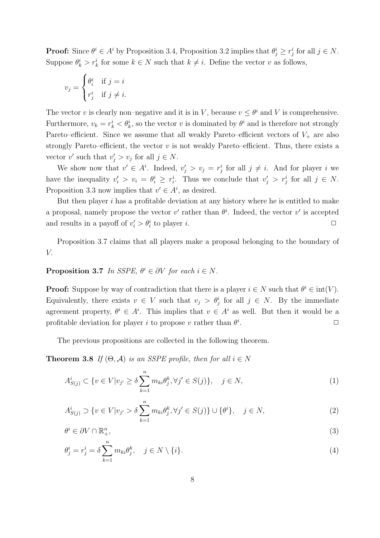**Proof:** Since  $\theta^i \in A^i$  by Proposition 3.4, Proposition 3.2 implies that  $\theta^i_j \geq r^i_j$  for all  $j \in N$ . Suppose  $\theta_k^i > r_k^i$  for some  $k \in N$  such that  $k \neq i$ . Define the vector v as follows,

$$
v_j = \begin{cases} \theta_i^i & \text{if } j = i \\ r_j^i & \text{if } j \neq i. \end{cases}
$$

The vector v is clearly non–negative and it is in V, because  $v \leq \theta^i$  and V is comprehensive. Furthermore,  $v_k = r_k^i < \theta_k^i$ , so the vector v is dominated by  $\theta^i$  and is therefore not strongly Pareto–efficient. Since we assume that all weakly Pareto–efficient vectors of  $V_+$  are also strongly Pareto–efficient, the vector  $v$  is not weakly Pareto–efficient. Thus, there exists a vector  $v'$  such that  $v'_j > v_j$  for all  $j \in N$ .

We show now that  $v' \in A^i$ . Indeed,  $v'_j > v_j = r_j^i$  for all  $j \neq i$ . And for player i we have the inequality  $v'_i > v_i = \theta_i^i \geq r_i^i$ . Thus we conclude that  $v'_j > r_j^i$  for all  $j \in N$ . Proposition 3.3 now implies that  $v' \in A^i$ , as desired.

But then player  $i$  has a profitable deviation at any history where he is entitled to make a proposal, namely propose the vector  $v'$  rather than  $\theta^i$ . Indeed, the vector  $v'$  is accepted and results in a payoff of  $v'_i > \theta_i^i$  to player *i*.

Proposition 3.7 claims that all players make a proposal belonging to the boundary of V.

#### **Proposition 3.7** In SSPE,  $\theta^i \in \partial V$  for each  $i \in N$ .

**Proof:** Suppose by way of contradiction that there is a player  $i \in N$  such that  $\theta^i \in \text{int}(V)$ . Equivalently, there exists  $v \in V$  such that  $v_j > \theta_j^i$  for all  $j \in N$ . By the immediate agreement property,  $\theta^i \in A^i$ . This implies that  $v \in A^i$  as well. But then it would be a profitable deviation for player i to propose v rather than  $\theta^i$ .  $\Box$ 

The previous propositions are collected in the following theorem.

**Theorem 3.8** If  $(\Theta, \mathcal{A})$  is an SSPE profile, then for all  $i \in N$ 

$$
A_{S(j)}^{i} \subset \{ v \in V | v_{j'} \ge \delta \sum_{k=1}^{n} m_{ki} \theta_{j}^{k}, \forall j' \in S(j) \}, \quad j \in N,
$$
\n(1)

$$
A_{S(j)}^{i} \supset \{v \in V | v_{j'} > \delta \sum_{k=1}^{n} m_{ki} \theta_{j}^{k}, \forall j' \in S(j) \} \cup \{\theta^{i}\}, \quad j \in N,
$$
\n(2)

$$
\theta^i \in \partial V \cap \mathbb{R}^n_+, \tag{3}
$$

$$
\theta_j^i = r_j^i = \delta \sum_{k=1}^n m_{ki} \theta_j^k, \quad j \in N \setminus \{i\}.
$$
 (4)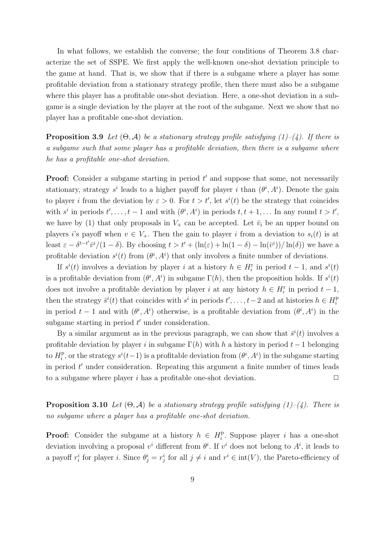In what follows, we establish the converse; the four conditions of Theorem 3.8 characterize the set of SSPE. We first apply the well-known one-shot deviation principle to the game at hand. That is, we show that if there is a subgame where a player has some profitable deviation from a stationary strategy profile, then there must also be a subgame where this player has a profitable one-shot deviation. Here, a one-shot deviation in a subgame is a single deviation by the player at the root of the subgame. Next we show that no player has a profitable one-shot deviation.

**Proposition 3.9** Let  $(\Theta, \mathcal{A})$  be a stationary strategy profile satisfying  $(1)$ – $(4)$ . If there is a subgame such that some player has a profitable deviation, then there is a subgame where he has a profitable one-shot deviation.

**Proof:** Consider a subgame starting in period  $t'$  and suppose that some, not necessarily stationary, strategy  $s^i$  leads to a higher payoff for player i than  $(\theta^i, A^i)$ . Denote the gain to player i from the deviation by  $\varepsilon > 0$ . For  $t > t'$ , let  $s^{i}(t)$  be the strategy that coincides with  $s^i$  in periods  $t', \ldots, t-1$  and with  $(\theta^i, A^i)$  in periods  $t, t+1, \ldots$  In any round  $t > t'$ , we have by (1) that only proposals in  $V_+$  can be accepted. Let  $\bar{v}_i$  be an upper bound on players i's payoff when  $v \in V_+$ . Then the gain to player i from a deviation to  $s_i(t)$  is at least  $\varepsilon - \delta^{t-t'} \bar{v}^i/(1-\delta)$ . By choosing  $t > t' + (\ln(\varepsilon) + \ln(1-\delta) - \ln(\bar{v}^i))/\ln(\delta)$  we have a profitable deviation  $s^{i}(t)$  from  $(\theta^{i}, A^{i})$  that only involves a finite number of deviations.

If  $s^i(t)$  involves a deviation by player i at a history  $h \in H_i^r$  in period  $t-1$ , and  $s^i(t)$ is a profitable deviation from  $(\theta^i, A^i)$  in subgame  $\Gamma(h)$ , then the proposition holds. If  $s^i(t)$ does not involve a profitable deviation by player i at any history  $h \in H_i^r$  in period  $t - 1$ , then the strategy  $\bar{s}^i(t)$  that coincides with  $s^i$  in periods  $t', \ldots, t-2$  and at histories  $h \in H_i^{\text{p}}$ i in period  $t-1$  and with  $(\theta^i, A^i)$  otherwise, is a profitable deviation from  $(\theta^i, A^i)$  in the subgame starting in period  $t'$  under consideration.

By a similar argument as in the previous paragraph, we can show that  $\bar{s}^i(t)$  involves a profitable deviation by player i in subgame  $\Gamma(h)$  with h a history in period  $t-1$  belonging to  $H_i^{\rm p}$ <sup>p</sup>, or the strategy  $s^{i}(t-1)$  is a profitable deviation from  $(\theta^{i}, A^{i})$  in the subgame starting in period  $t'$  under consideration. Repeating this argument a finite number of times leads to a subgame where player i has a profitable one-shot deviation.  $\Box$ 

**Proposition 3.10** Let  $(\Theta, \mathcal{A})$  be a stationary strategy profile satisfying  $(1)$ – $(4)$ . There is no subgame where a player has a profitable one-shot deviation.

**Proof:** Consider the subgame at a history  $h \in H_i^p$  $i<sup>p</sup>$ . Suppose player *i* has a one-shot deviation involving a proposal  $v^i$  different from  $\theta^i$ . If  $v^i$  does not belong to  $A^i$ , it leads to a payoff  $r_i^i$  for player *i*. Since  $\theta_j^i = r_j^i$  for all  $j \neq i$  and  $r^i \in \text{int}(V)$ , the Pareto-efficiency of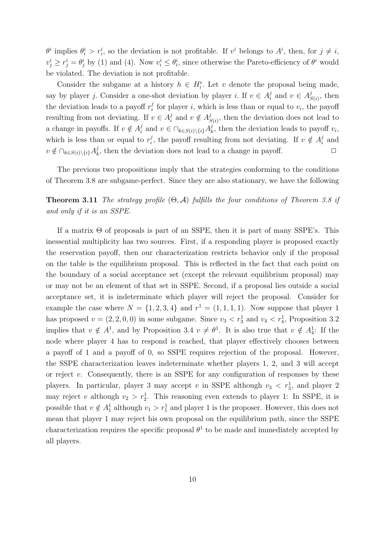$\theta^i$  implies  $\theta_i^i > r_i^i$ , so the deviation is not profitable. If  $v^i$  belongs to  $A^i$ , then, for  $j \neq i$ ,  $v_j^i \geq r_j^i = \theta_j^i$  by (1) and (4). Now  $v_i^i \leq \theta_i^i$ , since otherwise the Pareto-efficiency of  $\theta^i$  would be violated. The deviation is not profitable.

Consider the subgame at a history  $h \in H_i^r$ . Let v denote the proposal being made, say by player *j*. Consider a one-shot deviation by player *i*. If  $v \in A_i^j$  $i$  and  $v \in A_{\xi}^{j}$  $S(i)$ , then the deviation leads to a payoff  $r_i^j$  $i_i$  for player i, which is less than or equal to  $v_i$ , the payoff resulting from not deviating. If  $v \in A_i^j$  $i$  and  $v \notin A_{g}^{j}$  $S(s)$ , then the deviation does not lead to a change in payoffs. If  $v \notin A_i^j$  $i$  and  $v \in \bigcap_{k \in S(i) \setminus \{i\}} A_k^j$  $\mu_k^j$ , then the deviation leads to payoff  $v_i$ , which is less than or equal to  $r_i^j$  $i,$ , the payoff resulting from not deviating. If  $v \notin A_i^j$  $\frac{j}{i}$  and  $v \notin \bigcap_{k \in S(i) \setminus \{i\}} A_k^j$  $\frac{d}{dx}$ , then the deviation does not lead to a change in payoff.

The previous two propositions imply that the strategies conforming to the conditions of Theorem 3.8 are subgame-perfect. Since they are also stationary, we have the following

### **Theorem 3.11** The strategy profile  $(\Theta, \mathcal{A})$  fulfills the four conditions of Theorem 3.8 if and only if it is an SSPE.

If a matrix  $\Theta$  of proposals is part of an SSPE, then it is part of many SSPE's. This inessential multiplicity has two sources. First, if a responding player is proposed exactly the reservation payoff, then our characterization restricts behavior only if the proposal on the table is the equilibrium proposal. This is reflected in the fact that each point on the boundary of a social acceptance set (except the relevant equilibrium proposal) may or may not be an element of that set in SSPE. Second, if a proposal lies outside a social acceptance set, it is indeterminate which player will reject the proposal. Consider for example the case where  $N = \{1, 2, 3, 4\}$  and  $r^1 = (1, 1, 1, 1)$ . Now suppose that player 1 has proposed  $v = (2, 2, 0, 0)$  in some subgame. Since  $v_3 < r_3^1$  and  $v_4 < r_4^1$ , Proposition 3.2 implies that  $v \notin A^1$ , and by Proposition 3.4  $v \neq \theta^1$ . It is also true that  $v \notin A_4^1$ : If the node where player 4 has to respond is reached, that player effectively chooses between a payoff of 1 and a payoff of 0, so SSPE requires rejection of the proposal. However, the SSPE characterization leaves indeterminate whether players 1, 2, and 3 will accept or reject  $v$ . Consequently, there is an SSPE for any configuration of responses by these players. In particular, player 3 may accept v in SSPE although  $v_3 < r_3^1$ , and player 2 may reject v although  $v_2 > r_2^1$ . This reasoning even extends to player 1: In SSPE, it is possible that  $v \notin A_1^1$  although  $v_1 > r_1^1$  and player 1 is the proposer. However, this does not mean that player 1 may reject his own proposal on the equilibrium path, since the SSPE characterization requires the specific proposal  $\theta^1$  to be made and immediately accepted by all players.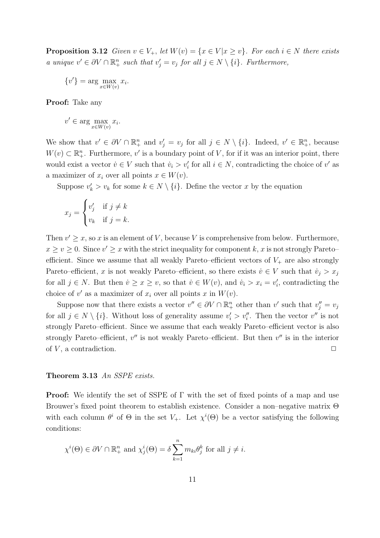**Proposition 3.12** Given  $v \in V_+$ , let  $W(v) = \{x \in V | x \ge v\}$ . For each  $i \in N$  there exists a unique  $v' \in \partial V \cap \mathbb{R}^n_+$  such that  $v'_j = v_j$  for all  $j \in N \setminus \{i\}$ . Furthermore,

$$
\{v'\} = \arg\max_{x \in W(v)} x_i.
$$

Proof: Take any

$$
v' \in \arg\max_{x \in W(v)} x_i.
$$

We show that  $v' \in \partial V \cap \mathbb{R}^n_+$  and  $v'_j = v_j$  for all  $j \in N \setminus \{i\}$ . Indeed,  $v' \in \mathbb{R}^n_+$ , because  $W(v) \subset \mathbb{R}^n_+$ . Furthermore, v' is a boundary point of V, for if it was an interior point, there would exist a vector  $\dot{v} \in V$  such that  $\dot{v}_i > v'_i$  for all  $i \in N$ , contradicting the choice of  $v'$  as a maximizer of  $x_i$  over all points  $x \in W(v)$ .

Suppose  $v'_k > v_k$  for some  $k \in N \setminus \{i\}$ . Define the vector x by the equation

$$
x_j = \begin{cases} v'_j & \text{if } j \neq k \\ v_k & \text{if } j = k. \end{cases}
$$

Then  $v' \geq x$ , so x is an element of V, because V is comprehensive from below. Furthermore,  $x \ge v \ge 0$ . Since  $v' \ge x$  with the strict inequality for component k, x is not strongly Paretoefficient. Since we assume that all weakly Pareto–efficient vectors of  $V_+$  are also strongly Pareto–efficient, x is not weakly Pareto–efficient, so there exists  $\dot{v} \in V$  such that  $\dot{v}_j > x_j$ for all  $j \in N$ . But then  $\dot{v} \ge x \ge v$ , so that  $\dot{v} \in W(v)$ , and  $\dot{v}_i > x_i = v'_i$ , contradicting the choice of  $v'$  as a maximizer of  $x_i$  over all points  $x$  in  $W(v)$ .

Suppose now that there exists a vector  $v'' \in \partial V \cap \mathbb{R}^n_+$  other than  $v'$  such that  $v''_j = v_j$ for all  $j \in N \setminus \{i\}$ . Without loss of generality assume  $v'_i > v''_i$ . Then the vector  $v''$  is not strongly Pareto–efficient. Since we assume that each weakly Pareto–efficient vector is also strongly Pareto–efficient,  $v''$  is not weakly Pareto–efficient. But then  $v''$  is in the interior of  $V$ , a contradiction.  $\Box$ 

#### Theorem 3.13 An SSPE exists.

**Proof:** We identify the set of SSPE of  $\Gamma$  with the set of fixed points of a map and use Brouwer's fixed point theorem to establish existence. Consider a non–negative matrix Θ with each column  $\theta^i$  of  $\Theta$  in the set  $V_+$ . Let  $\chi^i(\Theta)$  be a vector satisfying the following conditions:

$$
\chi^{i}(\Theta) \in \partial V \cap \mathbb{R}_{+}^{n}
$$
 and  $\chi_{j}^{i}(\Theta) = \delta \sum_{k=1}^{n} m_{ki} \theta_{j}^{k}$  for all  $j \neq i$ .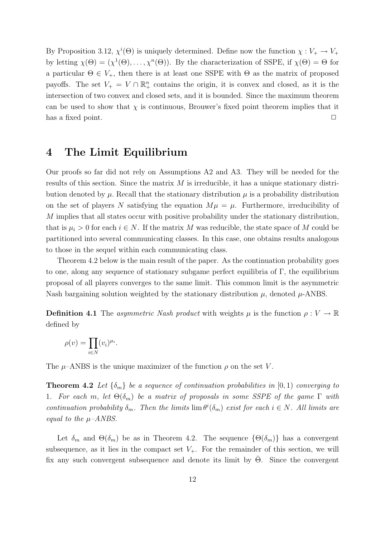By Proposition 3.12,  $\chi^i(\Theta)$  is uniquely determined. Define now the function  $\chi: V_+ \to V_+$ by letting  $\chi(\Theta) = (\chi^1(\Theta), \ldots, \chi^n(\Theta)).$  By the characterization of SSPE, if  $\chi(\Theta) = \Theta$  for a particular  $\Theta \in V_+$ , then there is at least one SSPE with  $\Theta$  as the matrix of proposed payoffs. The set  $V_+ = V \cap \mathbb{R}^n_+$  contains the origin, it is convex and closed, as it is the intersection of two convex and closed sets, and it is bounded. Since the maximum theorem can be used to show that  $\chi$  is continuous, Brouwer's fixed point theorem implies that it has a fixed point.  $\Box$ 

## 4 The Limit Equilibrium

Our proofs so far did not rely on Assumptions A2 and A3. They will be needed for the results of this section. Since the matrix  $M$  is irreducible, it has a unique stationary distribution denoted by  $\mu$ . Recall that the stationary distribution  $\mu$  is a probability distribution on the set of players N satisfying the equation  $M\mu = \mu$ . Furthermore, irreducibility of M implies that all states occur with positive probability under the stationary distribution, that is  $\mu_i > 0$  for each  $i \in N$ . If the matrix M was reducible, the state space of M could be partitioned into several communicating classes. In this case, one obtains results analogous to those in the sequel within each communicating class.

Theorem 4.2 below is the main result of the paper. As the continuation probability goes to one, along any sequence of stationary subgame perfect equilibria of  $\Gamma$ , the equilibrium proposal of all players converges to the same limit. This common limit is the asymmetric Nash bargaining solution weighted by the stationary distribution  $\mu$ , denoted  $\mu$ -ANBS.

**Definition 4.1** The asymmetric Nash product with weights  $\mu$  is the function  $\rho: V \to \mathbb{R}$ defined by

$$
\rho(v) = \prod_{i \in N} (v_i)^{\mu_i}.
$$

The  $\mu$ –ANBS is the unique maximizer of the function  $\rho$  on the set V.

**Theorem 4.2** Let  $\{\delta_m\}$  be a sequence of continuation probabilities in  $[0,1)$  converging to 1. For each m, let  $\Theta(\delta_m)$  be a matrix of proposals in some SSPE of the game  $\Gamma$  with continuation probability  $\delta_m$ . Then the limits  $\lim \theta^i(\delta_m)$  exist for each  $i \in N$ . All limits are equal to the  $\mu$ -ANBS.

Let  $\delta_m$  and  $\Theta(\delta_m)$  be as in Theorem 4.2. The sequence  $\{\Theta(\delta_m)\}\$  has a convergent subsequence, as it lies in the compact set  $V_{+}$ . For the remainder of this section, we will fix any such convergent subsequence and denote its limit by  $\Theta$ . Since the convergent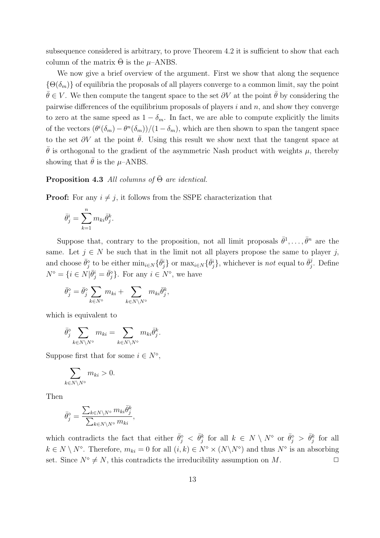subsequence considered is arbitrary, to prove Theorem 4.2 it is sufficient to show that each column of the matrix  $\Theta$  is the  $\mu$ –ANBS.

We now give a brief overview of the argument. First we show that along the sequence  $\{\Theta(\delta_m)\}\$  of equilibria the proposals of all players converge to a common limit, say the point  $\bar{\theta} \in V$ . We then compute the tangent space to the set  $\partial V$  at the point  $\bar{\theta}$  by considering the pairwise differences of the equilibrium proposals of players  $i$  and  $n$ , and show they converge to zero at the same speed as  $1 - \delta_m$ . In fact, we are able to compute explicitly the limits of the vectors  $(\theta^i(\delta_m) - \theta^n(\delta_m))/(1 - \delta_m)$ , which are then shown to span the tangent space to the set  $\partial V$  at the point  $\bar{\theta}$ . Using this result we show next that the tangent space at  $\theta$  is orthogonal to the gradient of the asymmetric Nash product with weights  $\mu$ , thereby showing that  $\theta$  is the  $\mu$ –ANBS.

#### **Proposition 4.3** All columns of  $\bar{\Theta}$  are identical.

**Proof:** For any  $i \neq j$ , it follows from the SSPE characterization that

$$
\bar{\theta}^i_j = \sum_{k=1}^n m_{ki} \bar{\theta}^k_j.
$$

Suppose that, contrary to the proposition, not all limit proposals  $\bar{\theta}^1, \ldots, \bar{\theta}^n$  are the same. Let  $j \in N$  be such that in the limit not all players propose the same to player j, and choose  $\bar{\theta}^{\circ}_j$  to be either  $\min_{i \in N} {\{\bar{\theta}^i_j\}}$  or  $\max_{i \in N} {\{\bar{\theta}^i_j\}}$ , whichever is not equal to  $\bar{\theta}^j_j$  $j$ . Define  $N^{\diamond} = \{i \in N | \bar{\theta}_j^i = \bar{\theta}_j^{\diamond}\}.$  For any  $i \in N^{\diamond}$ , we have

$$
\bar{\theta}_{j}^{\diamond} = \bar{\theta}_{j}^{\diamond} \sum_{k \in N^{\diamond}} m_{ki} + \sum_{k \in N \setminus N^{\diamond}} m_{ki} \bar{\theta}_{j}^{k},
$$

which is equivalent to

$$
\bar{\theta}_j^{\diamond} \sum_{k \in N \setminus N^{\diamond}} m_{ki} = \sum_{k \in N \setminus N^{\diamond}} m_{ki} \bar{\theta}_j^k.
$$

Suppose first that for some  $i \in N^{\diamond}$ ,

$$
\sum_{k \in N \backslash N^{\diamond}} m_{ki} > 0.
$$

Then

$$
\bar{\theta}_j^\diamond = \frac{\sum_{k \in N \setminus N^\diamond} m_{ki} \bar{\theta}_j^k}{\sum_{k \in N \setminus N^\diamond} m_{ki}}
$$

,

which contradicts the fact that either  $\bar{\theta}_{j}^{\diamond} < \bar{\theta}_{j}^{k}$  for all  $k \in N \setminus N^{\diamond}$  or  $\bar{\theta}_{j}^{\diamond} > \bar{\theta}_{j}^{k}$  for all  $k \in N \setminus N^{\diamond}$ . Therefore,  $m_{ki} = 0$  for all  $(i, k) \in N^{\diamond} \times (N \setminus N^{\diamond})$  and thus  $N^{\diamond}$  is an absorbing set. Since  $N^{\circ} \neq N$ , this contradicts the irreducibility assumption on M.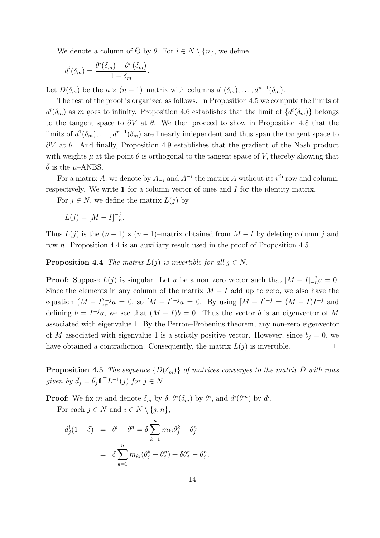We denote a column of  $\bar{\Theta}$  by  $\bar{\theta}$ . For  $i \in N \setminus \{n\}$ , we define

$$
d^{i}(\delta_{m}) = \frac{\theta^{i}(\delta_{m}) - \theta^{n}(\delta_{m})}{1 - \delta_{m}}.
$$

Let  $D(\delta_m)$  be the  $n \times (n-1)$ -matrix with columns  $d^1(\delta_m), \ldots, d^{n-1}(\delta_m)$ .

The rest of the proof is organized as follows. In Proposition 4.5 we compute the limits of  $d^{i}(\delta_{m})$  as m goes to infinity. Proposition 4.6 establishes that the limit of  $\{d^{i}(\delta_{m})\}$  belongs to the tangent space to  $\partial V$  at  $\bar{\theta}$ . We then proceed to show in Proposition 4.8 that the limits of  $d^1(\delta_m), \ldots, d^{n-1}(\delta_m)$  are linearly independent and thus span the tangent space to  $\partial V$  at  $\bar{\theta}$ . And finally, Proposition 4.9 establishes that the gradient of the Nash product with weights  $\mu$  at the point  $\bar{\theta}$  is orthogonal to the tangent space of V, thereby showing that  $\theta$  is the  $\mu$ –ANBS.

For a matrix A, we denote by  $A_{-i}$  and  $A^{-i}$  the matrix A without its  $i^{\text{th}}$  row and column, respectively. We write 1 for a column vector of ones and I for the identity matrix.

For  $j \in N$ , we define the matrix  $L(j)$  by

 $L(j) = [M - I]_{-r}^{-j}$  $\frac{-j}{-n}$ .

Thus  $L(j)$  is the  $(n-1) \times (n-1)$ –matrix obtained from  $M-I$  by deleting column j and row n. Proposition 4.4 is an auxiliary result used in the proof of Proposition 4.5.

**Proposition 4.4** The matrix  $L(j)$  is invertible for all  $j \in N$ .

**Proof:** Suppose  $L(j)$  is singular. Let a be a non–zero vector such that  $[M - I]_{-n}^{-j}a = 0$ . Since the elements in any column of the matrix  $M - I$  add up to zero, we also have the equation  $(M - I)^{-j}a = 0$ , so  $[M - I]^{-j}a = 0$ . By using  $[M - I]^{-j} = (M - I)I^{-j}$  and defining  $b = I^{-j}a$ , we see that  $(M - I)b = 0$ . Thus the vector b is an eigenvector of M associated with eigenvalue 1. By the Perron–Frobenius theorem, any non-zero eigenvector of M associated with eigenvalue 1 is a strictly positive vector. However, since  $b_i = 0$ , we have obtained a contradiction. Consequently, the matrix  $L(j)$  is invertible.  $\Box$ 

**Proposition 4.5** The sequence  $\{D(\delta_m)\}\$  of matrices converges to the matrix  $\bar{D}$  with rows given by  $\bar{d}_j = \bar{\theta}_j \mathbb{1}^\top L^{-1}(j)$  for  $j \in N$ .

**Proof:** We fix m and denote  $\delta_m$  by  $\delta$ ,  $\theta^i(\delta_m)$  by  $\theta^i$ , and  $d^i(\theta^m)$  by  $d^i$ .

For each  $j \in N$  and  $i \in N \setminus \{j, n\},\$ 

$$
d_j^i(1 - \delta) = \theta^i - \theta^n = \delta \sum_{k=1}^n m_{ki} \theta_j^k - \theta_j^n
$$

$$
= \delta \sum_{k=1}^n m_{ki} (\theta_j^k - \theta_j^n) + \delta \theta_j^n - \theta_j^n,
$$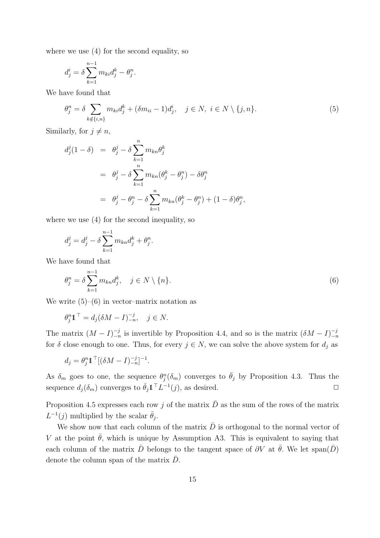where we use (4) for the second equality, so

$$
d_j^i = \delta \sum_{k=1}^{n-1} m_{ki} d_j^k - \theta_j^n.
$$

We have found that

$$
\theta_j^n = \delta \sum_{k \notin \{i, n\}} m_{ki} d_j^k + (\delta m_{ii} - 1) d_j^i, \quad j \in N, \ i \in N \setminus \{j, n\}.
$$
 (5)

Similarly, for  $j \neq n$ ,

$$
d_j^j(1 - \delta) = \theta_j^j - \delta \sum_{k=1}^n m_{kn} \theta_j^k
$$
  
=  $\theta_j^j - \delta \sum_{k=1}^n m_{kn} (\theta_j^k - \theta_j^n) - \delta \theta_j^n$   
=  $\theta_j^j - \theta_j^n - \delta \sum_{k=1}^n m_{kn} (\theta_j^k - \theta_j^n) + (1 - \delta) \theta_j^n$ ,

where we use (4) for the second inequality, so

$$
d_j^j = d_j^j - \delta \sum_{k=1}^{n-1} m_{kn} d_j^k + \theta_j^n.
$$

We have found that

$$
\theta_j^n = \delta \sum_{k=1}^{n-1} m_{kn} d_j^k, \quad j \in N \setminus \{n\}.
$$
 (6)

We write  $(5)$ – $(6)$  in vector–matrix notation as

$$
\theta_j^n \mathbb{1}^\top = d_j(\delta M - I)_{-n}^{-j}, \quad j \in N.
$$

The matrix  $(M - I)_{-\tau}^{-j}$  $\frac{-j}{-n}$  is invertible by Proposition 4.4, and so is the matrix  $(\delta M - I)_{-n}^{-j}$  $-n$ for  $\delta$  close enough to one. Thus, for every  $j \in N$ , we can solve the above system for  $d_i$  as

$$
d_j = \theta_j^n \mathbb{1}^\top [(\delta M - I)_{-n}^{-j}]^{-1}.
$$

As  $\delta_m$  goes to one, the sequence  $\theta_j^n(\delta_m)$  converges to  $\bar{\theta}_j$  by Proposition 4.3. Thus the sequence  $d_j(\delta_m)$  converges to  $\bar{\theta}_j 1 \mathbf{1}^{\top} L^{-1}(j)$ , as desired.

Proposition 4.5 expresses each row j of the matrix  $\bar{D}$  as the sum of the rows of the matrix  $L^{-1}(j)$  multiplied by the scalar  $\bar{\theta}_j$ .

We show now that each column of the matrix  $\bar{D}$  is orthogonal to the normal vector of V at the point  $\bar{\theta}$ , which is unique by Assumption A3. This is equivalent to saying that each column of the matrix  $\bar{D}$  belongs to the tangent space of  $\partial V$  at  $\bar{\theta}$ . We let span( $\bar{D}$ ) denote the column span of the matrix  $D$ .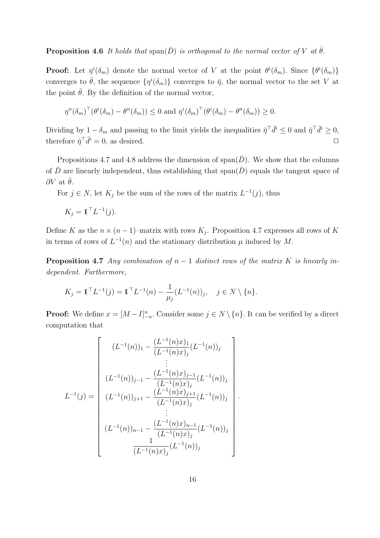**Proposition 4.6** It holds that span( $\overline{D}$ ) is orthogonal to the normal vector of V at  $\overline{\theta}$ .

**Proof:** Let  $\eta^{i}(\delta_{m})$  denote the normal vector of V at the point  $\theta^{i}(\delta_{m})$ . Since  $\{\theta^{i}(\delta_{m})\}$ converges to  $\bar{\theta}$ , the sequence  $\{\eta^i(\delta_m)\}\)$  converges to  $\bar{\eta}$ , the normal vector to the set V at the point  $\bar{\theta}$ . By the definition of the normal vector,

$$
\eta^{n}(\delta_{m})^{\top}(\theta^{i}(\delta_{m})-\theta^{n}(\delta_{m}))\leq 0 \text{ and } \eta^{i}(\delta_{m})^{\top}(\theta^{i}(\delta_{m})-\theta^{n}(\delta_{m}))\geq 0.
$$

Dividing by  $1 - \delta_m$  and passing to the limit yields the inequalities  $\bar{\eta}^\top \bar{d}^i \leq 0$  and  $\bar{\eta}^\top \bar{d}^i \geq 0$ , therefore  $\bar{\eta}^{\top} \bar{d}^i = 0$ , as desired.

Propositions 4.7 and 4.8 address the dimension of span( $\bar{D}$ ). We show that the columns of  $\bar{D}$  are linearly independent, thus establishing that span( $\bar{D}$ ) equals the tangent space of  $\partial V$  at  $\bar{\theta}$ .

For  $j \in N$ , let  $K_j$  be the sum of the rows of the matrix  $L^{-1}(j)$ , thus

$$
K_j = \mathbb{1}^\top L^{-1}(j).
$$

Define K as the  $n \times (n-1)$ -matrix with rows  $K_j$ . Proposition 4.7 expresses all rows of K in terms of rows of  $L^{-1}(n)$  and the stationary distribution  $\mu$  induced by M.

**Proposition 4.7** Any combination of  $n-1$  distinct rows of the matrix K is linearly independent. Furthermore,

$$
K_j = \mathbb{1}^\top L^{-1}(j) = \mathbb{1}^\top L^{-1}(n) - \frac{1}{\mu_j} (L^{-1}(n))_j, \quad j \in N \setminus \{n\}.
$$

**Proof:** We define  $x = [M - I]_{-n}^n$ . Consider some  $j \in N \setminus \{n\}$ . It can be verified by a direct computation that

.

$$
L^{-1}(j) = \begin{bmatrix} (L^{-1}(n))_1 - \frac{(L^{-1}(n)x)_1}{(L^{-1}(n)x)_j} (L^{-1}(n))_j \\ \vdots \\ (L^{-1}(n))_{j-1} - \frac{(L^{-1}(n)x)_{j-1}}{(L^{-1}(n)x)_j} (L^{-1}(n))_j \\ (L^{-1}(n))_{j+1} - \frac{(L^{-1}(n)x)_{j+1}}{(L^{-1}(n)x)_j} (L^{-1}(n))_j \\ \vdots \\ (L^{-1}(n))_{n-1} - \frac{(L^{-1}(n)x)_{n-1}}{(L^{-1}(n)x)_j} (L^{-1}(n))_j \\ \frac{1}{(L^{-1}(n)x)_j} (L^{-1}(n))_j \end{bmatrix}
$$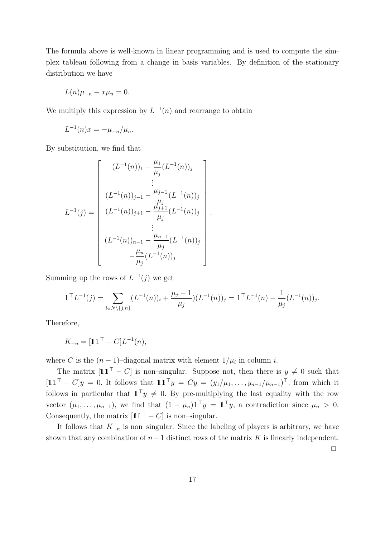The formula above is well-known in linear programming and is used to compute the simplex tableau following from a change in basis variables. By definition of the stationary distribution we have

$$
L(n)\mu_{-n} + x\mu_n = 0.
$$

We multiply this expression by  $L^{-1}(n)$  and rearrange to obtain

$$
L^{-1}(n)x = -\mu_{-n}/\mu_n.
$$

By substitution, we find that

$$
L^{-1}(j) = \begin{bmatrix} (L^{-1}(n))_1 - \frac{\mu_1}{\mu_j} (L^{-1}(n))_j \\ \vdots \\ (L^{-1}(n))_{j-1} - \frac{\mu_{j-1}}{\mu_j} (L^{-1}(n))_j \\ (L^{-1}(n))_{j+1} - \frac{\mu_{j+1}}{\mu_j} (L^{-1}(n))_j \\ \vdots \\ (L^{-1}(n))_{n-1} - \frac{\mu_{n-1}}{\mu_j} (L^{-1}(n))_j \\ -\frac{\mu_n}{\mu_j} (L^{-1}(n))_j \end{bmatrix}.
$$

Summing up the rows of  $L^{-1}(j)$  we get

$$
\mathbb{1}^{\top}L^{-1}(j) = \sum_{i \in N \setminus \{j,n\}} (L^{-1}(n))_i + \frac{\mu_j - 1}{\mu_j} (L^{-1}(n))_j = \mathbb{1}^{\top}L^{-1}(n) - \frac{1}{\mu_j} (L^{-1}(n))_j.
$$

Therefore,

$$
K_{-n} = [\mathbf{1}\mathbf{1}^\top - C]L^{-1}(n),
$$

where C is the  $(n-1)$ -diagonal matrix with element  $1/\mu_i$  in column i.

The matrix  $[11<sup>T</sup> - C]$  is non-singular. Suppose not, then there is  $y \neq 0$  such that  $[11<sup>T</sup> - C]y = 0$ . It follows that  $11<sup>T</sup>y = Cy = (y_1/\mu_1, \ldots, y_{n-1}/\mu_{n-1})<sup>T</sup>$ , from which it follows in particular that  $\mathbb{1}^T y \neq 0$ . By pre-multiplying the last equality with the row vector  $(\mu_1, \ldots, \mu_{n-1})$ , we find that  $(1 - \mu_n) \mathbb{1}^\top y = \mathbb{1}^\top y$ , a contradiction since  $\mu_n > 0$ . Consequently, the matrix  $[11<sup>T</sup> - C]$  is non–singular.

It follows that  $K_{-n}$  is non–singular. Since the labeling of players is arbitrary, we have shown that any combination of  $n-1$  distinct rows of the matrix K is linearly independent.

 $\Box$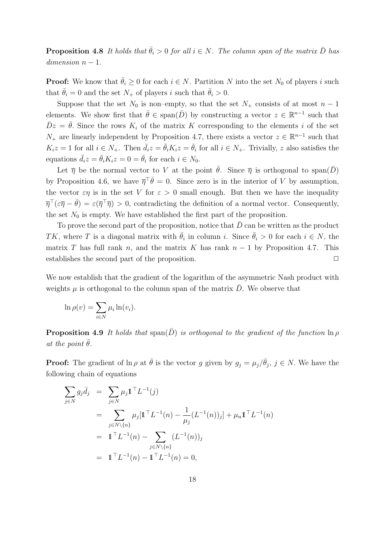**Proposition 4.8** It holds that  $\bar{\theta}_i > 0$  for all  $i \in N$ . The column span of the matrix  $\bar{D}$  has  $dimension\ n-1.$ 

**Proof:** We know that  $\bar{\theta}_i \geq 0$  for each  $i \in N$ . Partition N into the set  $N_0$  of players i such that  $\bar{\theta}_i = 0$  and the set  $N_+$  of players i such that  $\bar{\theta}_i > 0$ .

Suppose that the set  $N_0$  is non–empty, so that the set  $N_+$  consists of at most  $n-1$ elements. We show first that  $\bar{\theta} \in \text{span}(\bar{D})$  by constructing a vector  $z \in \mathbb{R}^{n-1}$  such that  $\bar{D}z = \bar{\theta}$ . Since the rows  $K_i$  of the matrix K corresponding to the elements i of the set  $N_+$  are linearly independent by Proposition 4.7, there exists a vector  $z \in \mathbb{R}^{n-1}$  such that  $K_i z = 1$  for all  $i \in N_+$ . Then  $\bar{d}_i z = \bar{\theta}_i K_i z = \bar{\theta}_i$  for all  $i \in N_+$ . Trivially, z also satisfies the equations  $\bar{d_i}z = \bar{\theta_i}K_i z = 0 = \bar{\theta_i}$  for each  $i \in N_0$ .

Let  $\bar{\eta}$  be the normal vector to V at the point  $\bar{\theta}$ . Since  $\bar{\eta}$  is orthogonal to span( $\bar{D}$ ) by Proposition 4.6, we have  $\overline{\eta}^T \overline{\theta} = 0$ . Since zero is in the interior of V by assumption, the vector  $\varepsilon \eta$  is in the set V for  $\varepsilon > 0$  small enough. But then we have the inequality  $\overline{\eta}^{\top}(\varepsilon\overline{\eta}-\overline{\theta})=\varepsilon(\overline{\eta}^{\top}\overline{\eta})>0$ , contradicting the definition of a normal vector. Consequently, the set  $N_0$  is empty. We have established the first part of the proposition.

To prove the second part of the proposition, notice that  $\overline{D}$  can be written as the product TK, where T is a diagonal matrix with  $\bar{\theta}_i$  in column i. Since  $\bar{\theta}_i > 0$  for each  $i \in N$ , the matrix T has full rank n, and the matrix K has rank  $n-1$  by Proposition 4.7. This establishes the second part of the proposition.  $\Box$ 

We now establish that the gradient of the logarithm of the asymmetric Nash product with weights  $\mu$  is orthogonal to the column span of the matrix D. We observe that

$$
\ln \rho(v) = \sum_{i \in N} \mu_i \ln(v_i).
$$

**Proposition 4.9** It holds that span( $\bar{D}$ ) is orthogonal to the gradient of the function  $\ln \rho$ at the point  $\theta$ .

**Proof:** The gradient of  $\ln \rho$  at  $\bar{\theta}$  is the vector g given by  $g_j = \mu_j / \bar{\theta}_j$ ,  $j \in N$ . We have the following chain of equations

$$
\sum_{j \in N} g_j \bar{d}_j = \sum_{j \in N} \mu_j \mathbb{1}^\top L^{-1}(j)
$$
\n
$$
= \sum_{j \in N \setminus \{n\}} \mu_j [\mathbb{1}^\top L^{-1}(n) - \frac{1}{\mu_j} (L^{-1}(n))_j] + \mu_n \mathbb{1}^\top L^{-1}(n)
$$
\n
$$
= \mathbb{1}^\top L^{-1}(n) - \sum_{j \in N \setminus \{n\}} (L^{-1}(n))_j
$$
\n
$$
= \mathbb{1}^\top L^{-1}(n) - \mathbb{1}^\top L^{-1}(n) = 0,
$$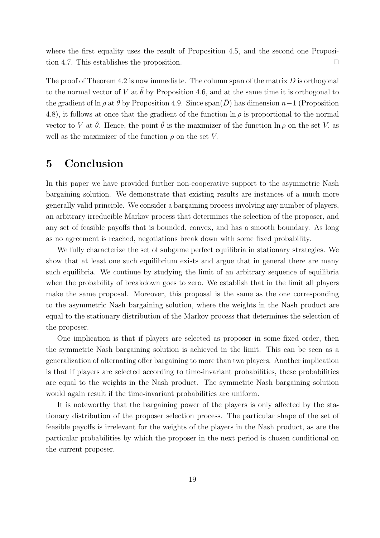where the first equality uses the result of Proposition 4.5, and the second one Proposition 4.7. This establishes the proposition.  $\Box$ 

The proof of Theorem 4.2 is now immediate. The column span of the matrix  $\bar{D}$  is orthogonal to the normal vector of V at  $\bar{\theta}$  by Proposition 4.6, and at the same time it is orthogonal to the gradient of ln  $\rho$  at  $\bar{\theta}$  by Proposition 4.9. Since span( $\bar{D}$ ) has dimension n−1 (Proposition 4.8), it follows at once that the gradient of the function  $\ln \rho$  is proportional to the normal vector to V at  $\bar{\theta}$ . Hence, the point  $\bar{\theta}$  is the maximizer of the function  $\ln \rho$  on the set V, as well as the maximizer of the function  $\rho$  on the set V.

## 5 Conclusion

In this paper we have provided further non-cooperative support to the asymmetric Nash bargaining solution. We demonstrate that existing results are instances of a much more generally valid principle. We consider a bargaining process involving any number of players, an arbitrary irreducible Markov process that determines the selection of the proposer, and any set of feasible payoffs that is bounded, convex, and has a smooth boundary. As long as no agreement is reached, negotiations break down with some fixed probability.

We fully characterize the set of subgame perfect equilibria in stationary strategies. We show that at least one such equilibrium exists and argue that in general there are many such equilibria. We continue by studying the limit of an arbitrary sequence of equilibria when the probability of breakdown goes to zero. We establish that in the limit all players make the same proposal. Moreover, this proposal is the same as the one corresponding to the asymmetric Nash bargaining solution, where the weights in the Nash product are equal to the stationary distribution of the Markov process that determines the selection of the proposer.

One implication is that if players are selected as proposer in some fixed order, then the symmetric Nash bargaining solution is achieved in the limit. This can be seen as a generalization of alternating offer bargaining to more than two players. Another implication is that if players are selected according to time-invariant probabilities, these probabilities are equal to the weights in the Nash product. The symmetric Nash bargaining solution would again result if the time-invariant probabilities are uniform.

It is noteworthy that the bargaining power of the players is only affected by the stationary distribution of the proposer selection process. The particular shape of the set of feasible payoffs is irrelevant for the weights of the players in the Nash product, as are the particular probabilities by which the proposer in the next period is chosen conditional on the current proposer.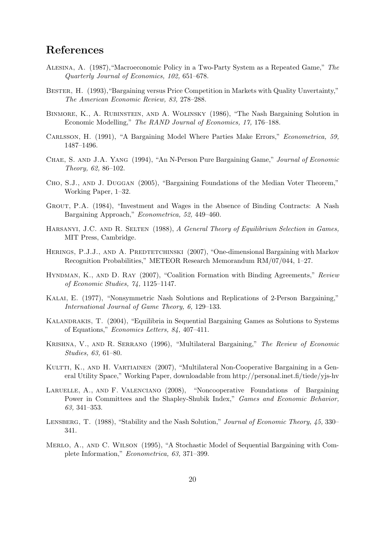## References

- Alesina, A. (1987),"Macroeconomic Policy in a Two-Party System as a Repeated Game," The Quarterly Journal of Economics, 102, 651–678.
- BESTER, H. (1993), "Bargaining versus Price Competition in Markets with Quality Unvertainty," The American Economic Review, 83, 278–288.
- Binmore, K., A. Rubinstein, and A. Wolinsky (1986), "The Nash Bargaining Solution in Economic Modelling," The RAND Journal of Economics, 17, 176–188.
- CARLSSON, H. (1991), "A Bargaining Model Where Parties Make Errors," Econometrica, 59, 1487–1496.
- Chae, S. and J.A. Yang (1994), "An N-Person Pure Bargaining Game," Journal of Economic Theory, 62, 86–102.
- Cho, S.J., and J. Duggan (2005), "Bargaining Foundations of the Median Voter Theorem," Working Paper, 1–32.
- Grout, P.A. (1984), "Investment and Wages in the Absence of Binding Contracts: A Nash Bargaining Approach," Econometrica, 52, 449–460.
- HARSANYI, J.C. AND R. SELTEN (1988), A General Theory of Equilibrium Selection in Games, MIT Press, Cambridge.
- HERINGS, P.J.J., AND A. PREDTETCHINSKI (2007), "One-dimensional Bargaining with Markov Recognition Probabilities," METEOR Research Memorandum RM/07/044, 1–27.
- HYNDMAN, K., AND D. RAY (2007), "Coalition Formation with Binding Agreements," Review of Economic Studies, 74, 1125–1147.
- Kalai, E. (1977), "Nonsymmetric Nash Solutions and Replications of 2-Person Bargaining," International Journal of Game Theory, 6, 129–133.
- KALANDRAKIS, T. (2004), "Equilibria in Sequential Bargaining Games as Solutions to Systems of Equations," Economics Letters, 84, 407–411.
- Krishna, V., and R. Serrano (1996), "Multilateral Bargaining," The Review of Economic Studies, 63, 61–80.
- KULTTI, K., AND H. VARTIAINEN (2007), "Multilateral Non-Cooperative Bargaining in a General Utility Space," Working Paper, downloadable from http://personal.inet.fi/tiede/yjs-hv
- Laruelle, A., and F. Valenciano (2008), "Noncooperative Foundations of Bargaining Power in Committees and the Shapley-Shubik Index," Games and Economic Behavior, 63, 341–353.
- LENSBERG, T. (1988), "Stability and the Nash Solution," Journal of Economic Theory, 45, 330– 341.
- Merlo, A., and C. Wilson (1995), "A Stochastic Model of Sequential Bargaining with Complete Information," Econometrica, 63, 371–399.